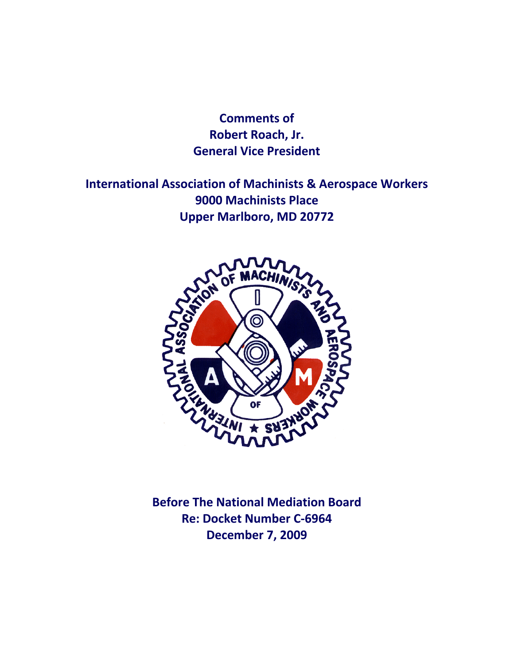**Comments of Robert Roach, Jr. General Vice President**

**International Association of Machinists & Aerospace Workers 9000 Machinists Place Upper Marlboro, MD 20772**



**Before The National Mediation Board Re: Docket Number C‐6964 December 7, 2009**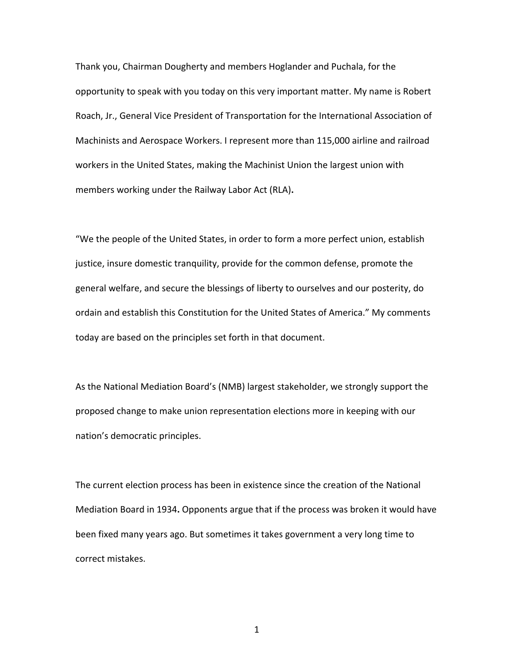Thank you, Chairman Dougherty and members Hoglander and Puchala, for the opportunity to speak with you today on this very important matter. My name is Robert Roach, Jr., General Vice President of Transportation for the International Association of Machinists and Aerospace Workers. I represent more than 115,000 airline and railroad workers in the United States, making the Machinist Union the largest union with members working under the Railway Labor Act (RLA)**.**

"We the people of the United States, in order to form a more perfect union, establish justice, insure domestic tranquility, provide for the common defense, promote the general welfare, and secure the blessings of liberty to ourselves and our posterity, do ordain and establish this Constitution for the United States of America." My comments today are based on the principles set forth in that document.

As the National Mediation Board's (NMB) largest stakeholder, we strongly support the proposed change to make union representation elections more in keeping with our nation's democratic principles.

The current election process has been in existence since the creation of the National Mediation Board in 1934**.** Opponents argue that if the process was broken it would have been fixed many years ago. But sometimes it takes government a very long time to correct mistakes.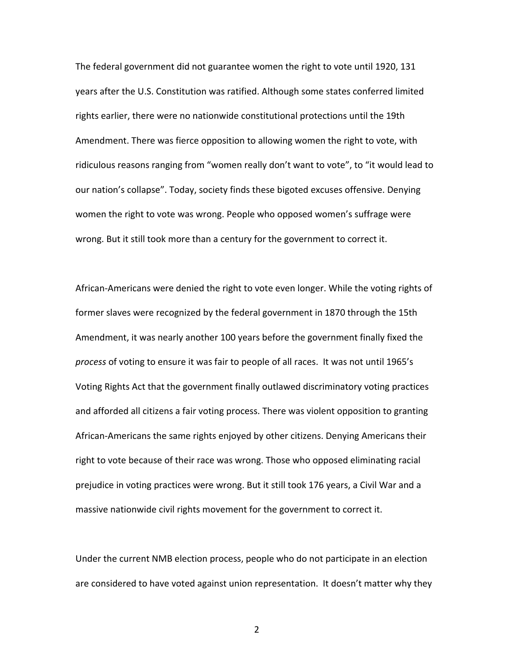The federal government did not guarantee women the right to vote until 1920, 131 years after the U.S. Constitution was ratified. Although some states conferred limited rights earlier, there were no nationwide constitutional protections until the 19th Amendment. There was fierce opposition to allowing women the right to vote, with ridiculous reasons ranging from "women really don't want to vote", to "it would lead to our nation's collapse". Today, society finds these bigoted excuses offensive. Denying women the right to vote was wrong. People who opposed women's suffrage were wrong. But it still took more than a century for the government to correct it.

African‐Americans were denied the right to vote even longer. While the voting rights of former slaves were recognized by the federal government in 1870 through the 15th Amendment, it was nearly another 100 years before the government finally fixed the *process* of voting to ensure it was fair to people of all races. It was not until 1965's Voting Rights Act that the government finally outlawed discriminatory voting practices and afforded all citizens a fair voting process. There was violent opposition to granting African‐Americans the same rights enjoyed by other citizens. Denying Americans their right to vote because of their race was wrong. Those who opposed eliminating racial prejudice in voting practices were wrong. But it still took 176 years, a Civil War and a massive nationwide civil rights movement for the government to correct it.

Under the current NMB election process, people who do not participate in an election are considered to have voted against union representation. It doesn't matter why they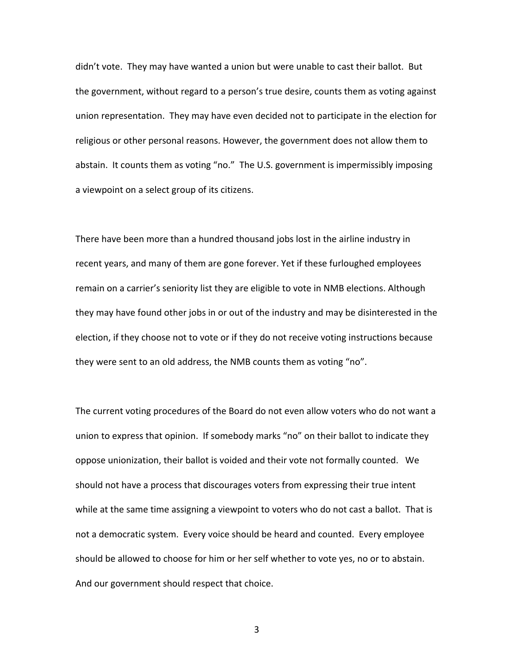didn't vote. They may have wanted a union but were unable to cast their ballot. But the government, without regard to a person's true desire, counts them as voting against union representation. They may have even decided not to participate in the election for religious or other personal reasons. However, the government does not allow them to abstain. It counts them as voting "no." The U.S. government is impermissibly imposing a viewpoint on a select group of its citizens.

There have been more than a hundred thousand jobs lost in the airline industry in recent years, and many of them are gone forever. Yet if these furloughed employees remain on a carrier's seniority list they are eligible to vote in NMB elections. Although they may have found other jobs in or out of the industry and may be disinterested in the election, if they choose not to vote or if they do not receive voting instructions because they were sent to an old address, the NMB counts them as voting "no".

The current voting procedures of the Board do not even allow voters who do not want a union to express that opinion. If somebody marks "no" on their ballot to indicate they oppose unionization, their ballot is voided and their vote not formally counted. We should not have a process that discourages voters from expressing their true intent while at the same time assigning a viewpoint to voters who do not cast a ballot. That is not a democratic system. Every voice should be heard and counted. Every employee should be allowed to choose for him or her self whether to vote yes, no or to abstain. And our government should respect that choice.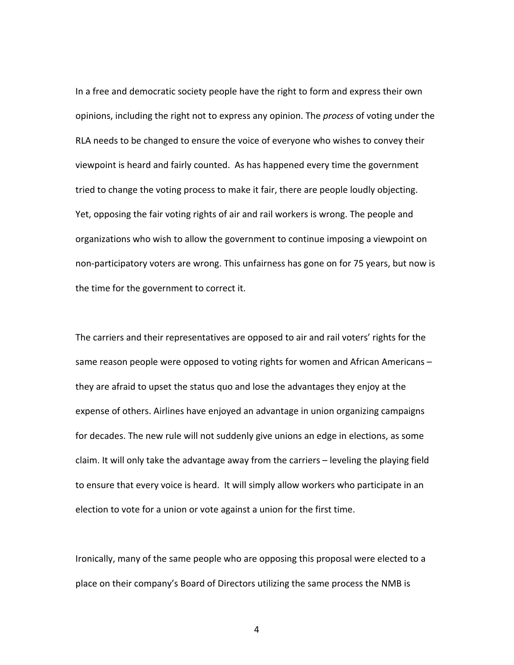In a free and democratic society people have the right to form and express their own opinions, including the right not to express any opinion. The *process* of voting under the RLA needs to be changed to ensure the voice of everyone who wishes to convey their viewpoint is heard and fairly counted. As has happened every time the government tried to change the voting process to make it fair, there are people loudly objecting. Yet, opposing the fair voting rights of air and rail workers is wrong. The people and organizations who wish to allow the government to continue imposing a viewpoint on non‐participatory voters are wrong. This unfairness has gone on for 75 years, but now is the time for the government to correct it.

The carriers and their representatives are opposed to air and rail voters' rights for the same reason people were opposed to voting rights for women and African Americans they are afraid to upset the status quo and lose the advantages they enjoy at the expense of others. Airlines have enjoyed an advantage in union organizing campaigns for decades. The new rule will not suddenly give unions an edge in elections, as some claim. It will only take the advantage away from the carriers – leveling the playing field to ensure that every voice is heard. It will simply allow workers who participate in an election to vote for a union or vote against a union for the first time.

Ironically, many of the same people who are opposing this proposal were elected to a place on their company's Board of Directors utilizing the same process the NMB is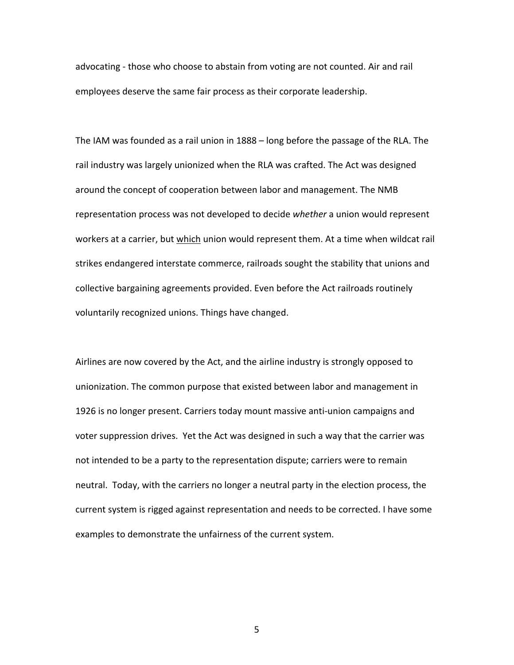advocating ‐ those who choose to abstain from voting are not counted. Air and rail employees deserve the same fair process as their corporate leadership.

The IAM was founded as a rail union in 1888 – long before the passage of the RLA. The rail industry was largely unionized when the RLA was crafted. The Act was designed around the concept of cooperation between labor and management. The NMB representation process was not developed to decide *whether* a union would represent workers at a carrier, but which union would represent them. At a time when wildcat rail strikes endangered interstate commerce, railroads sought the stability that unions and collective bargaining agreements provided. Even before the Act railroads routinely voluntarily recognized unions. Things have changed.

Airlines are now covered by the Act, and the airline industry is strongly opposed to unionization. The common purpose that existed between labor and management in 1926 is no longer present. Carriers today mount massive anti-union campaigns and voter suppression drives. Yet the Act was designed in such a way that the carrier was not intended to be a party to the representation dispute; carriers were to remain neutral. Today, with the carriers no longer a neutral party in the election process, the current system is rigged against representation and needs to be corrected. I have some examples to demonstrate the unfairness of the current system.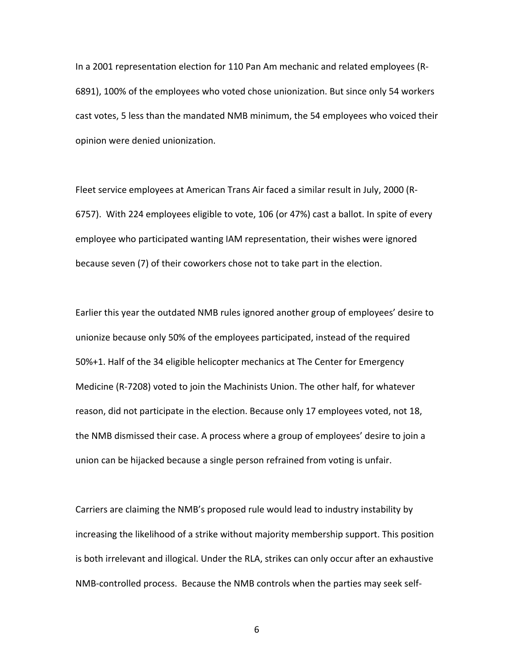In a 2001 representation election for 110 Pan Am mechanic and related employees (R‐ 6891), 100% of the employees who voted chose unionization. But since only 54 workers cast votes, 5 less than the mandated NMB minimum, the 54 employees who voiced their opinion were denied unionization.

Fleet service employees at American Trans Air faced a similar result in July, 2000 (R‐ 6757). With 224 employees eligible to vote, 106 (or 47%) cast a ballot. In spite of every employee who participated wanting IAM representation, their wishes were ignored because seven (7) of their coworkers chose not to take part in the election.

Earlier this year the outdated NMB rules ignored another group of employees' desire to unionize because only 50% of the employees participated, instead of the required 50%+1. Half of the 34 eligible helicopter mechanics at The Center for Emergency Medicine (R‐7208) voted to join the Machinists Union. The other half, for whatever reason, did not participate in the election. Because only 17 employees voted, not 18, the NMB dismissed their case. A process where a group of employees' desire to join a union can be hijacked because a single person refrained from voting is unfair.

Carriers are claiming the NMB's proposed rule would lead to industry instability by increasing the likelihood of a strike without majority membership support. This position is both irrelevant and illogical. Under the RLA, strikes can only occur after an exhaustive NMB‐controlled process. Because the NMB controls when the parties may seek self‐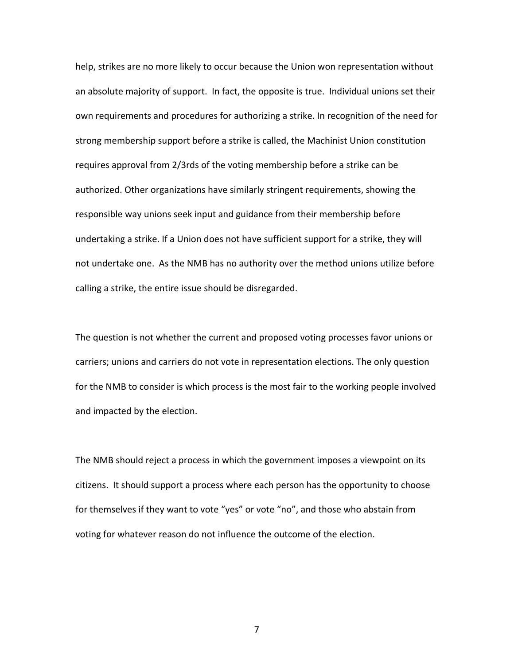help, strikes are no more likely to occur because the Union won representation without an absolute majority of support. In fact, the opposite is true. Individual unions set their own requirements and procedures for authorizing a strike. In recognition of the need for strong membership support before a strike is called, the Machinist Union constitution requires approval from 2/3rds of the voting membership before a strike can be authorized. Other organizations have similarly stringent requirements, showing the responsible way unions seek input and guidance from their membership before undertaking a strike. If a Union does not have sufficient support for a strike, they will not undertake one. As the NMB has no authority over the method unions utilize before calling a strike, the entire issue should be disregarded.

The question is not whether the current and proposed voting processes favor unions or carriers; unions and carriers do not vote in representation elections. The only question for the NMB to consider is which process is the most fair to the working people involved and impacted by the election.

The NMB should reject a process in which the government imposes a viewpoint on its citizens. It should support a process where each person has the opportunity to choose for themselves if they want to vote "yes" or vote "no", and those who abstain from voting for whatever reason do not influence the outcome of the election.